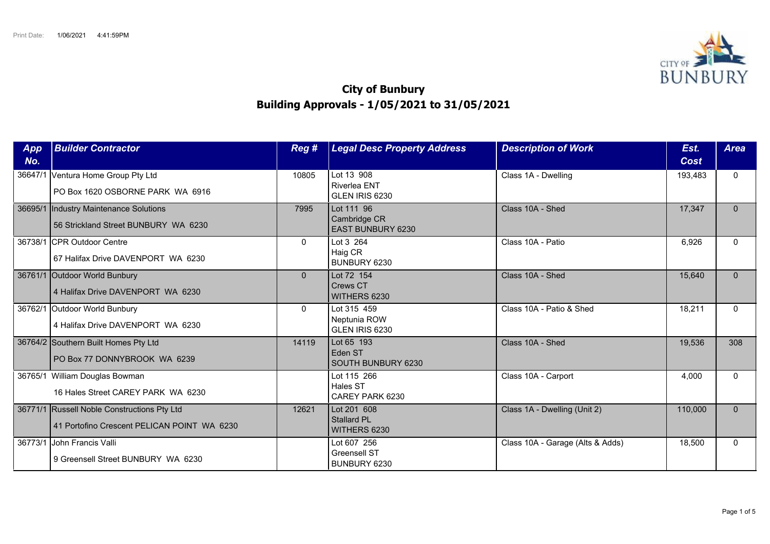

## **City of Bunbury Building Approvals - 1/05/2021 to 31/05/2021**

| App<br>No. | <b>Builder Contractor</b>                                                                  | Reg #        | <b>Legal Desc Property Address</b>                     | <b>Description of Work</b>       | Est.<br>Cost | <b>Area</b> |
|------------|--------------------------------------------------------------------------------------------|--------------|--------------------------------------------------------|----------------------------------|--------------|-------------|
|            | 36647/1 Ventura Home Group Pty Ltd<br>PO Box 1620 OSBORNE PARK WA 6916                     | 10805        | Lot 13 908<br><b>Riverlea ENT</b><br>GLEN IRIS 6230    | Class 1A - Dwelling              | 193,483      | $\Omega$    |
|            | 36695/1 Industry Maintenance Solutions<br>56 Strickland Street BUNBURY WA 6230             | 7995         | Lot 111 96<br>Cambridge CR<br><b>EAST BUNBURY 6230</b> | Class 10A - Shed                 | 17,347       | $\Omega$    |
|            | 36738/1 CPR Outdoor Centre<br>67 Halifax Drive DAVENPORT WA 6230                           | $\mathbf{0}$ | Lot 3 264<br>Haig CR<br>BUNBURY 6230                   | Class 10A - Patio                | 6,926        | $\Omega$    |
|            | 36761/1 Outdoor World Bunbury<br>4 Halifax Drive DAVENPORT WA 6230                         | $\Omega$     | Lot 72 154<br>Crews CT<br>WITHERS 6230                 | Class 10A - Shed                 | 15,640       | $\Omega$    |
|            | 36762/1 Outdoor World Bunbury<br>4 Halifax Drive DAVENPORT WA 6230                         | $\mathbf{0}$ | Lot 315 459<br>Neptunia ROW<br>GLEN IRIS 6230          | Class 10A - Patio & Shed         | 18,211       | $\Omega$    |
|            | 36764/2 Southern Built Homes Pty Ltd<br>PO Box 77 DONNYBROOK WA 6239                       | 14119        | Lot 65 193<br>Eden ST<br>SOUTH BUNBURY 6230            | Class 10A - Shed                 | 19,536       | 308         |
|            | 36765/1 William Douglas Bowman<br>16 Hales Street CAREY PARK WA 6230                       |              | Lot 115 266<br>Hales ST<br>CAREY PARK 6230             | Class 10A - Carport              | 4,000        | $\Omega$    |
|            | 36771/1 Russell Noble Constructions Pty Ltd<br>41 Portofino Crescent PELICAN POINT WA 6230 | 12621        | Lot 201 608<br><b>Stallard PL</b><br>WITHERS 6230      | Class 1A - Dwelling (Unit 2)     | 110,000      | $\Omega$    |
| 36773/1    | <b>John Francis Valli</b><br>9 Greensell Street BUNBURY WA 6230                            |              | Lot 607 256<br><b>Greensell ST</b><br>BUNBURY 6230     | Class 10A - Garage (Alts & Adds) | 18,500       | $\Omega$    |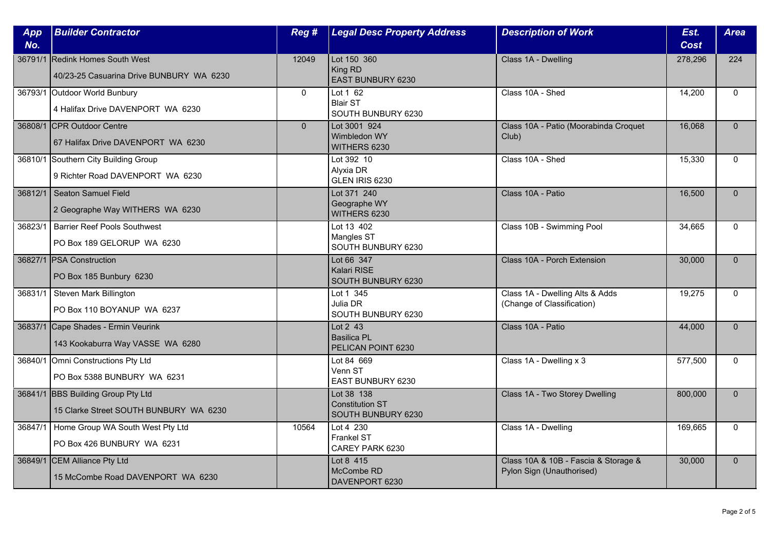| App<br>No. | <b>Builder Contractor</b>                                                    | Reg #          | <b>Legal Desc Property Address</b>                         | <b>Description of Work</b>                                        | Est.<br>Cost | <b>Area</b>  |
|------------|------------------------------------------------------------------------------|----------------|------------------------------------------------------------|-------------------------------------------------------------------|--------------|--------------|
| 36791/1    | Redink Homes South West<br>40/23-25 Casuarina Drive BUNBURY WA 6230          | 12049          | Lot 150 360<br>King RD<br>EAST BUNBURY 6230                | Class 1A - Dwelling                                               | 278,296      | 224          |
|            | 36793/1 Outdoor World Bunbury<br>4 Halifax Drive DAVENPORT WA 6230           | $\mathbf{0}$   | Lot 1 62<br><b>Blair ST</b><br>SOUTH BUNBURY 6230          | Class 10A - Shed                                                  | 14,200       | $\Omega$     |
|            | 36808/1 CPR Outdoor Centre<br>67 Halifax Drive DAVENPORT WA 6230             | $\overline{0}$ | Lot 3001 924<br>Wimbledon WY<br>WITHERS 6230               | Class 10A - Patio (Moorabinda Croquet<br>Club)                    | 16,068       | $\Omega$     |
|            | 36810/1 Southern City Building Group<br>9 Richter Road DAVENPORT WA 6230     |                | Lot 392 10<br>Alyxia DR<br>GLEN IRIS 6230                  | Class 10A - Shed                                                  | 15,330       | $\mathbf{0}$ |
| 36812/1    | Seaton Samuel Field<br>2 Geographe Way WITHERS WA 6230                       |                | Lot 371 240<br>Geographe WY<br>WITHERS 6230                | Class 10A - Patio                                                 | 16,500       | $\Omega$     |
| 36823/1    | <b>Barrier Reef Pools Southwest</b><br>PO Box 189 GELORUP WA 6230            |                | Lot 13 402<br>Mangles ST<br>SOUTH BUNBURY 6230             | Class 10B - Swimming Pool                                         | 34,665       | $\Omega$     |
|            | 36827/1 PSA Construction<br>PO Box 185 Bunbury 6230                          |                | Lot 66 347<br>Kalari RISE<br>SOUTH BUNBURY 6230            | Class 10A - Porch Extension                                       | 30,000       | $\mathbf{0}$ |
| 36831/1    | Steven Mark Billington<br>PO Box 110 BOYANUP WA 6237                         |                | Lot 1 345<br>Julia DR<br>SOUTH BUNBURY 6230                | Class 1A - Dwelling Alts & Adds<br>(Change of Classification)     | 19,275       | $\mathbf{0}$ |
|            | 36837/1 Cape Shades - Ermin Veurink<br>143 Kookaburra Way VASSE WA 6280      |                | Lot 2 43<br><b>Basilica PL</b><br>PELICAN POINT 6230       | Class 10A - Patio                                                 | 44,000       | $\Omega$     |
|            | 36840/1 Omni Constructions Pty Ltd<br>PO Box 5388 BUNBURY WA 6231            |                | Lot 84 669<br>Venn ST<br>EAST BUNBURY 6230                 | Class 1A - Dwelling x 3                                           | 577,500      | $\mathbf{0}$ |
|            | 36841/1 BBS Building Group Pty Ltd<br>15 Clarke Street SOUTH BUNBURY WA 6230 |                | Lot 38 138<br><b>Constitution ST</b><br>SOUTH BUNBURY 6230 | Class 1A - Two Storey Dwelling                                    | 800,000      | $\mathbf{0}$ |
|            | 36847/1   Home Group WA South West Pty Ltd<br>PO Box 426 BUNBURY WA 6231     | 10564          | Lot 4 230<br><b>Frankel ST</b><br>CAREY PARK 6230          | Class 1A - Dwelling                                               | 169,665      | $\Omega$     |
|            | 36849/1 CEM Alliance Pty Ltd<br>15 McCombe Road DAVENPORT WA 6230            |                | Lot 8 415<br>McCombe RD<br>DAVENPORT 6230                  | Class 10A & 10B - Fascia & Storage &<br>Pylon Sign (Unauthorised) | 30,000       | $\mathbf{0}$ |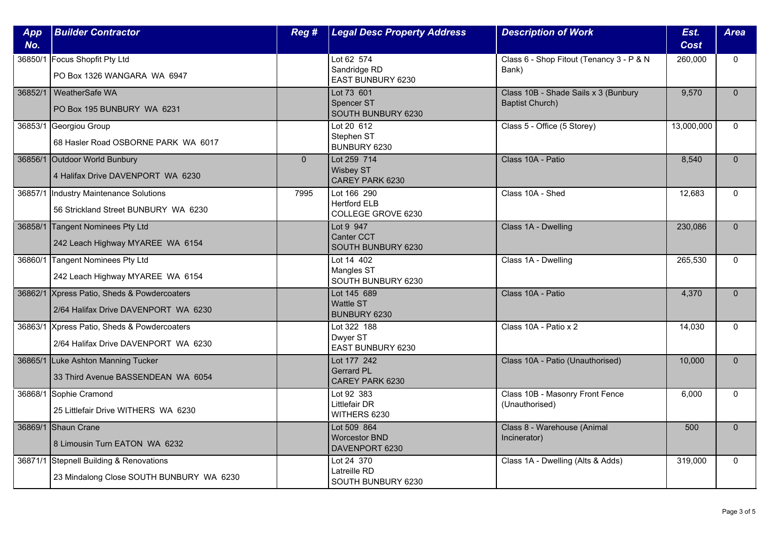| <b>App</b><br>No. | <b>Builder Contractor</b>                                                           | Reg #          | <b>Legal Desc Property Address</b>                       | <b>Description of Work</b>                                     | Est.<br><b>Cost</b> | <b>Area</b>  |
|-------------------|-------------------------------------------------------------------------------------|----------------|----------------------------------------------------------|----------------------------------------------------------------|---------------------|--------------|
| 36850/1           | Focus Shopfit Pty Ltd<br>PO Box 1326 WANGARA WA 6947                                |                | Lot 62 574<br>Sandridge RD<br>EAST BUNBURY 6230          | Class 6 - Shop Fitout (Tenancy 3 - P & N<br>Bank)              | 260,000             | $\Omega$     |
|                   | 36852/1   WeatherSafe WA<br>PO Box 195 BUNBURY WA 6231                              |                | Lot 73 601<br><b>Spencer ST</b><br>SOUTH BUNBURY 6230    | Class 10B - Shade Sails x 3 (Bunbury<br><b>Baptist Church)</b> | 9,570               | $\mathbf{0}$ |
| 36853/1           | Georgiou Group<br>68 Hasler Road OSBORNE PARK WA 6017                               |                | Lot 20 612<br>Stephen ST<br>BUNBURY 6230                 | Class 5 - Office (5 Storey)                                    | 13,000,000          | $\Omega$     |
|                   | 36856/1 Outdoor World Bunbury<br>4 Halifax Drive DAVENPORT WA 6230                  | $\overline{0}$ | Lot 259 714<br><b>Wisbey ST</b><br>CAREY PARK 6230       | Class 10A - Patio                                              | 8,540               | $\Omega$     |
| 36857/1           | Industry Maintenance Solutions<br>56 Strickland Street BUNBURY WA 6230              | 7995           | Lot 166 290<br><b>Hertford ELB</b><br>COLLEGE GROVE 6230 | Class 10A - Shed                                               | 12,683              | $\Omega$     |
| 36858/1           | Tangent Nominees Pty Ltd<br>242 Leach Highway MYAREE WA 6154                        |                | Lot 9 947<br>Canter CCT<br>SOUTH BUNBURY 6230            | Class 1A - Dwelling                                            | 230,086             | $\Omega$     |
|                   | 36860/1 Tangent Nominees Pty Ltd<br>242 Leach Highway MYAREE WA 6154                |                | Lot 14 402<br>Mangles ST<br>SOUTH BUNBURY 6230           | Class 1A - Dwelling                                            | 265,530             | $\mathbf{0}$ |
|                   | 36862/1 Xpress Patio, Sheds & Powdercoaters<br>2/64 Halifax Drive DAVENPORT WA 6230 |                | Lot 145 689<br><b>Wattle ST</b><br>BUNBURY 6230          | Class 10A - Patio                                              | 4,370               | $\mathbf{0}$ |
|                   | 36863/1 Xpress Patio, Sheds & Powdercoaters<br>2/64 Halifax Drive DAVENPORT WA 6230 |                | Lot 322 188<br>Dwyer ST<br>EAST BUNBURY 6230             | Class 10A - Patio x 2                                          | 14,030              | $\Omega$     |
|                   | 36865/1 Luke Ashton Manning Tucker<br>33 Third Avenue BASSENDEAN WA 6054            |                | Lot 177 242<br><b>Gerrard PL</b><br>CAREY PARK 6230      | Class 10A - Patio (Unauthorised)                               | 10,000              | $\mathbf{0}$ |
|                   | 36868/1 Sophie Cramond<br>25 Littlefair Drive WITHERS WA 6230                       |                | Lot 92 383<br><b>Littlefair DR</b><br>WITHERS 6230       | Class 10B - Masonry Front Fence<br>(Unauthorised)              | 6.000               | $\mathbf{0}$ |
|                   | 36869/1 Shaun Crane<br>8 Limousin Turn EATON WA 6232                                |                | Lot 509 864<br><b>Worcestor BND</b><br>DAVENPORT 6230    | Class 8 - Warehouse (Animal<br>Incinerator)                    | 500                 | $\Omega$     |
|                   | 36871/1 Stepnell Building & Renovations<br>23 Mindalong Close SOUTH BUNBURY WA 6230 |                | Lot 24 370<br>Latreille RD<br>SOUTH BUNBURY 6230         | Class 1A - Dwelling (Alts & Adds)                              | 319,000             | $\mathbf{0}$ |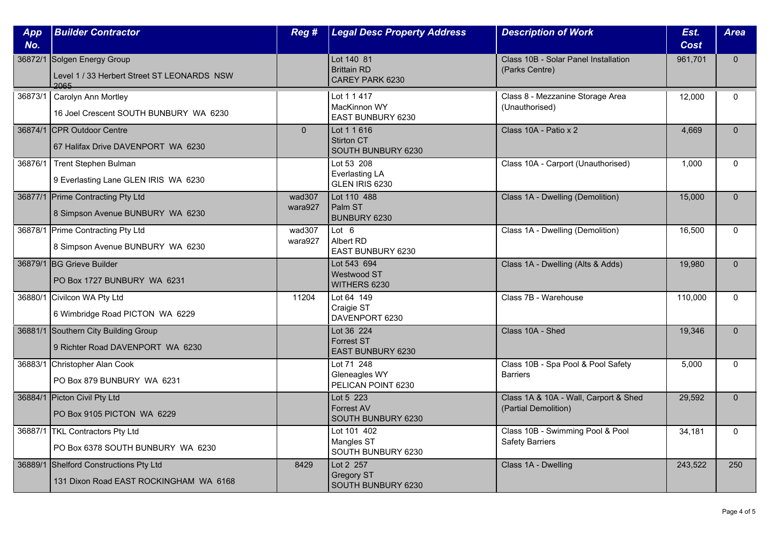| App<br>No. | <b>Builder Contractor</b>                                                          | Reg #             | <b>Legal Desc Property Address</b>                            | <b>Description of Work</b>                                    | Est.<br>Cost | <b>Area</b>  |
|------------|------------------------------------------------------------------------------------|-------------------|---------------------------------------------------------------|---------------------------------------------------------------|--------------|--------------|
|            | 36872/1 Solgen Energy Group<br>Level 1 / 33 Herbert Street ST LEONARDS NSW<br>2065 |                   | Lot 140 81<br><b>Brittain RD</b><br>CAREY PARK 6230           | Class 10B - Solar Panel Installation<br>(Parks Centre)        | 961,701      | $\Omega$     |
|            | 36873/1   Carolyn Ann Mortley<br>16 Joel Crescent SOUTH BUNBURY WA 6230            |                   | Lot 1 1 417<br>MacKinnon WY<br>EAST BUNBURY 6230              | Class 8 - Mezzanine Storage Area<br>(Unauthorised)            | 12.000       | $\mathbf{0}$ |
|            | 36874/1 CPR Outdoor Centre<br>67 Halifax Drive DAVENPORT WA 6230                   | $\overline{0}$    | Lot 1 1 616<br><b>Stirton CT</b><br><b>SOUTH BUNBURY 6230</b> | Class 10A - Patio x 2                                         | 4,669        | $\Omega$     |
|            | 36876/1   Trent Stephen Bulman<br>9 Everlasting Lane GLEN IRIS WA 6230             |                   | Lot 53 208<br><b>Everlasting LA</b><br>GLEN IRIS 6230         | Class 10A - Carport (Unauthorised)                            | 1,000        | $\mathbf{0}$ |
|            | 36877/1 Prime Contracting Pty Ltd<br>8 Simpson Avenue BUNBURY WA 6230              | wad307<br>wara927 | Lot 110 488<br>Palm ST<br>BUNBURY 6230                        | Class 1A - Dwelling (Demolition)                              | 15,000       | $\Omega$     |
|            | 36878/1 Prime Contracting Pty Ltd<br>8 Simpson Avenue BUNBURY WA 6230              | wad307<br>wara927 | Lot 6<br>Albert RD<br>EAST BUNBURY 6230                       | Class 1A - Dwelling (Demolition)                              | 16,500       | $\Omega$     |
|            | 36879/1 BG Grieve Builder<br>PO Box 1727 BUNBURY WA 6231                           |                   | Lot 543 694<br>Westwood ST<br>WITHERS 6230                    | Class 1A - Dwelling (Alts & Adds)                             | 19,980       | $\Omega$     |
|            | 36880/1 Civilcon WA Pty Ltd<br>6 Wimbridge Road PICTON WA 6229                     | 11204             | Lot 64 149<br>Craigie ST<br>DAVENPORT 6230                    | Class 7B - Warehouse                                          | 110,000      | $\mathbf{0}$ |
|            | 36881/1 Southern City Building Group<br>9 Richter Road DAVENPORT WA 6230           |                   | Lot 36 224<br><b>Forrest ST</b><br>EAST BUNBURY 6230          | Class 10A - Shed                                              | 19,346       | $\Omega$     |
|            | 36883/1 Christopher Alan Cook<br>PO Box 879 BUNBURY WA 6231                        |                   | Lot 71 248<br>Gleneagles WY<br>PELICAN POINT 6230             | Class 10B - Spa Pool & Pool Safety<br><b>Barriers</b>         | 5,000        | $\mathbf{0}$ |
|            | 36884/1 Picton Civil Pty Ltd<br>PO Box 9105 PICTON WA 6229                         |                   | Lot 5 223<br><b>Forrest AV</b><br>SOUTH BUNBURY 6230          | Class 1A & 10A - Wall, Carport & Shed<br>(Partial Demolition) | 29,592       | $\Omega$     |
|            | 36887/1   TKL Contractors Pty Ltd<br>PO Box 6378 SOUTH BUNBURY WA 6230             |                   | Lot 101 402<br>Mangles ST<br>SOUTH BUNBURY 6230               | Class 10B - Swimming Pool & Pool<br><b>Safety Barriers</b>    | 34,181       | $\Omega$     |
|            | 36889/1 Shelford Constructions Pty Ltd<br>131 Dixon Road EAST ROCKINGHAM WA 6168   | 8429              | Lot 2 257<br><b>Gregory ST</b><br>SOUTH BUNBURY 6230          | Class 1A - Dwelling                                           | 243,522      | 250          |